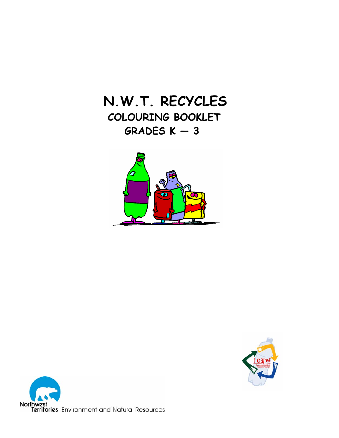## **N.W.T. RECYCLES**

## **COLOURING BOOKLET GRADES K — 3**





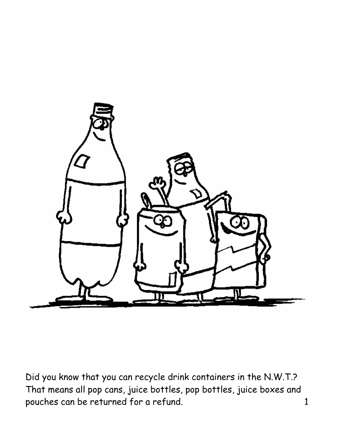

Did you know that you can recycle drink containers in the N.W.T.? That means all pop cans, juice bottles, pop bottles, juice boxes and pouches can be returned for a refund. 1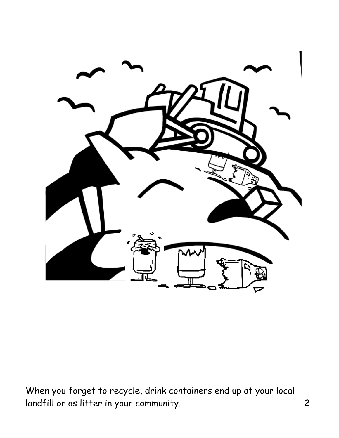

When you forget to recycle, drink containers end up at your local landfill or as litter in your community. 2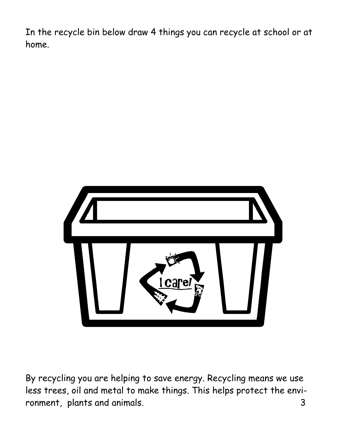In the recycle bin below draw 4 things you can recycle at school or at home.



By recycling you are helping to save energy. Recycling means we use less trees, oil and metal to make things. This helps protect the environment, plants and animals. 3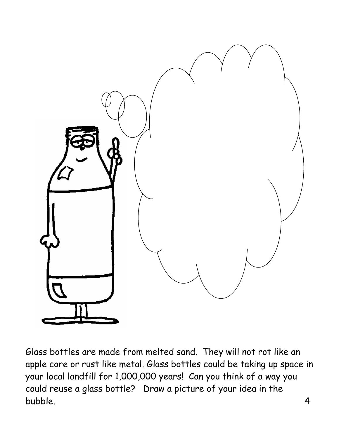

Glass bottles are made from melted sand. They will not rot like an apple core or rust like metal. Glass bottles could be taking up space in your local landfill for 1,000,000 years! Can you think of a way you could reuse a glass bottle? Draw a picture of your idea in the bubble. 4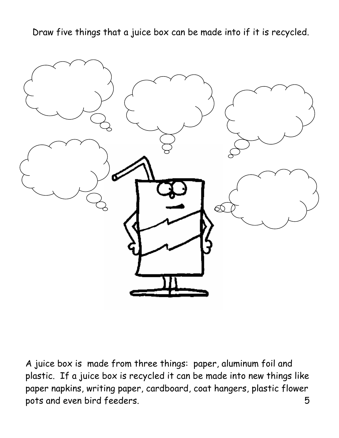Draw five things that a juice box can be made into if it is recycled.



A juice box is made from three things: paper, aluminum foil and plastic. If a juice box is recycled it can be made into new things like paper napkins, writing paper, cardboard, coat hangers, plastic flower pots and even bird feeders. 5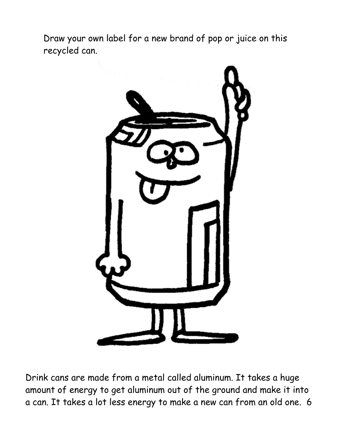Draw your own label for a new brand of pop or juice on this recycled can.



Drink cans are made from a metal called aluminum. It takes a huge amount of energy to get aluminum out of the ground and make it into a can. It takes a lot less energy to make a new can from an old one. 6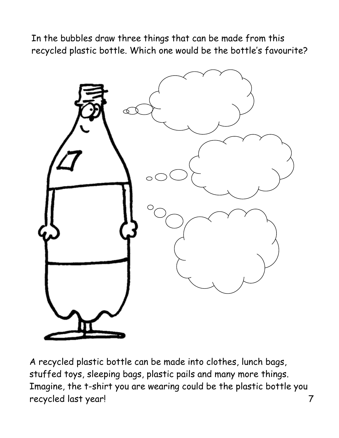In the bubbles draw three things that can be made from this recycled plastic bottle. Which one would be the bottle's favourite?



A recycled plastic bottle can be made into clothes, lunch bags, stuffed toys, sleeping bags, plastic pails and many more things. Imagine, the t-shirt you are wearing could be the plastic bottle you recycled last year! 7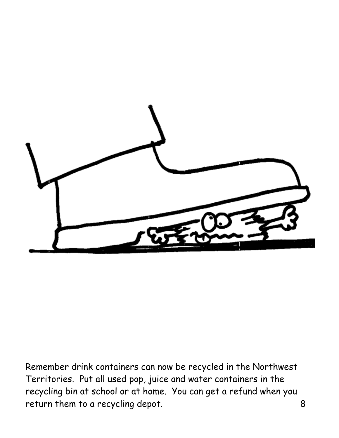

Remember drink containers can now be recycled in the Northwest Territories. Put all used pop, juice and water containers in the recycling bin at school or at home. You can get a refund when you return them to a recycling depot. 8